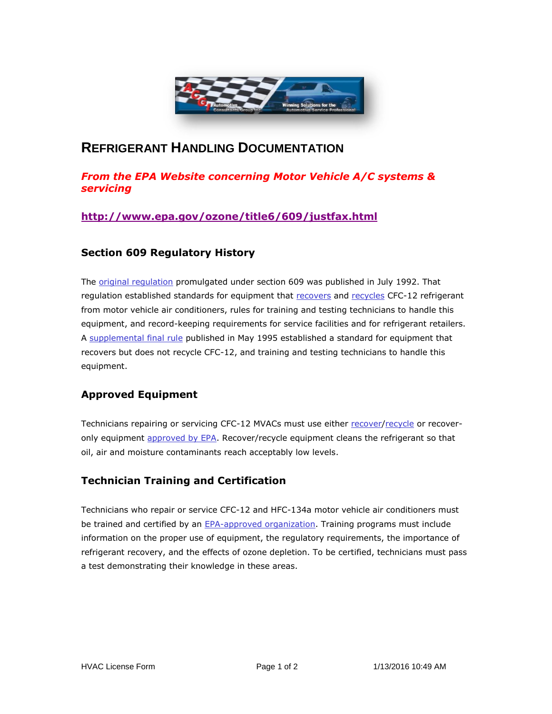

# **REFRIGERANT HANDLING DOCUMENTATION**

# *From the EPA Website concerning Motor Vehicle A/C systems & servicing*

## **<http://www.epa.gov/ozone/title6/609/justfax.html>**

### **Section 609 Regulatory History**

The [original regulation](http://www.epa.gov/ozone/fedregstr/57fr31242.html) promulgated under section 609 was published in July 1992. That regulation established standards for equipment that [recovers](http://www.epa.gov/ozone/title6/608/608defns.html#recover) and [recycles](http://www.epa.gov/ozone/title6/608/608defns.html#recycle) CFC-12 refrigerant from motor vehicle air conditioners, rules for training and testing technicians to handle this equipment, and record-keeping requirements for service facilities and for refrigerant retailers. A [supplemental final rule](http://www.epa.gov/docs/fedrgstr/EPA-AIR/1995/May/Day-02/pr-604.html) published in May 1995 established a standard for equipment that recovers but does not recycle CFC-12, and training and testing technicians to handle this equipment.

# **Approved Equipment**

Technicians repairing or servicing CFC-12 MVACs must use either [recover](http://www.epa.gov/ozone/title6/608/608defns.html#recover)[/recycle](http://www.epa.gov/ozone/title6/608/608defns.html#recycle) or recoveronly equipment [approved by EPA.](http://www.epa.gov/ozone/title6/609/technicians/appequip.html) Recover/recycle equipment cleans the refrigerant so that oil, air and moisture contaminants reach acceptably low levels.

### **Technician Training and Certification**

Technicians who repair or service CFC-12 and HFC-134a motor vehicle air conditioners must be trained and certified by an [EPA-approved organization.](http://www.epa.gov/ozone/title6/609/technicians/609certs.html) Training programs must include information on the proper use of equipment, the regulatory requirements, the importance of refrigerant recovery, and the effects of ozone depletion. To be certified, technicians must pass a test demonstrating their knowledge in these areas.